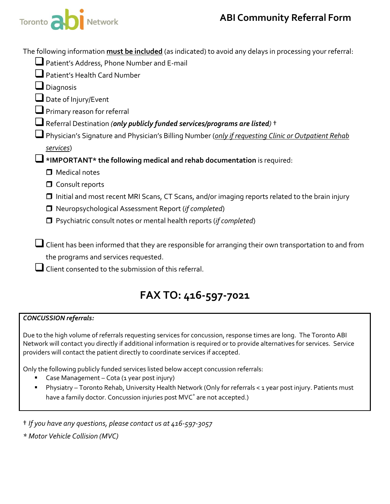

The following information **must be included** (as indicated) to avoid any delays in processing your referral:

| Patient's Address, Phone Number and E-mail                                                             |
|--------------------------------------------------------------------------------------------------------|
| Patient's Health Card Number                                                                           |
| $\Box$ Diagnosis                                                                                       |
| $\Box$ Date of Injury/Event                                                                            |
| $\Box$ Primary reason for referral                                                                     |
| Referral Destination (only publicly funded services/programs are listed) $\dagger$                     |
| Physician's Signature and Physician's Billing Number (only if requesting Clinic or Outpatient Rehab    |
| services)                                                                                              |
| $\Box$ *IMPORTANT* the following medical and rehab documentation is required:                          |
| $\Box$ Medical notes                                                                                   |
| $\Box$ Consult reports                                                                                 |
| $\Box$ Initial and most recent MRI Scans, CT Scans, and/or imaging reports related to the brain injury |
| □ Neuropsychological Assessment Report (if completed)                                                  |
| Psychiatric consult notes or mental health reports (if completed)                                      |
|                                                                                                        |
| Client has been informed that they are responsible for arranging their own transportation to and from  |
| the programs and services requested.                                                                   |

 $\Box$  Client consented to the submission of this referral.

## **FAX TO: 416-597-7021**

#### *CONCUSSION referrals:*

Due to the high volume of referrals requesting services for concussion, response times are long. The Toronto ABI Network will contact you directly if additional information is required or to provide alternatives for services. Service providers will contact the patient directly to coordinate services if accepted.

Only the following publicly funded services listed below accept concussion referrals:

- Case Management Cota (1 year post injury)
- Physiatry Toronto Rehab, University Health Network (Only for referrals < 1 year post injury. Patients must have a family doctor. Concussion injuries post MVC<sup>\*</sup> are not accepted.)

† *If you have any questions, please contact us at 416-597-3057*

*\* Motor Vehicle Collision (MVC)*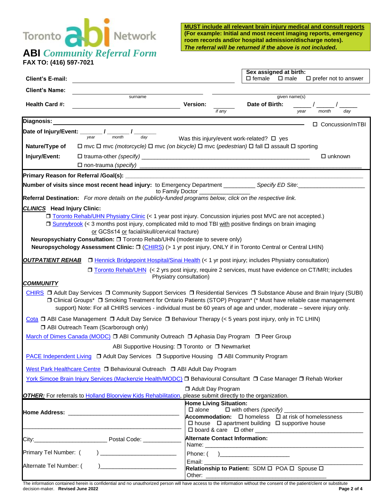# **ABI** *Community Referral Form*

**FAX TO: (416) 597-7021**

**MUST include all relevant brain injury medical and consult reports (For example: Initial and most recent imaging reports, emergency room records and/or hospital admission/discharge notes).** *The referral will be returned if the above is not included.*

| <b>Client's E-mail:</b>                                                                                          |                                                                                                                                                                                                                                                                                                                                                                       |                                                   |                                | $\Box$ female                                                  | Sex assigned at birth:<br>$\square$ male | $\square$ prefer not to answer                                       |
|------------------------------------------------------------------------------------------------------------------|-----------------------------------------------------------------------------------------------------------------------------------------------------------------------------------------------------------------------------------------------------------------------------------------------------------------------------------------------------------------------|---------------------------------------------------|--------------------------------|----------------------------------------------------------------|------------------------------------------|----------------------------------------------------------------------|
| <b>Client's Name:</b>                                                                                            |                                                                                                                                                                                                                                                                                                                                                                       |                                                   |                                |                                                                |                                          |                                                                      |
| <b>Health Card #:</b>                                                                                            | surname                                                                                                                                                                                                                                                                                                                                                               | Version:                                          | if any                         | Date of Birth:                                                 | given name(s)<br>year                    | dav<br>month                                                         |
| Diagnosis:                                                                                                       |                                                                                                                                                                                                                                                                                                                                                                       |                                                   |                                |                                                                |                                          | □ Concussion/mTBI                                                    |
|                                                                                                                  | Date of Injury/Event: ________ / _______ / ______ /<br>day                                                                                                                                                                                                                                                                                                            | Was this injury/event work-related? $\square$ yes |                                |                                                                |                                          |                                                                      |
| Nature/Type of                                                                                                   | $\Box$ mvc $\Box$ mvc (motorcycle) $\Box$ mvc (on bicycle) $\Box$ mvc (pedestrian) $\Box$ fall $\Box$ assault $\Box$ sporting                                                                                                                                                                                                                                         |                                                   |                                |                                                                |                                          |                                                                      |
| Injury/Event:                                                                                                    |                                                                                                                                                                                                                                                                                                                                                                       |                                                   |                                |                                                                |                                          | $\Box$ unknown                                                       |
|                                                                                                                  |                                                                                                                                                                                                                                                                                                                                                                       |                                                   |                                |                                                                |                                          |                                                                      |
|                                                                                                                  |                                                                                                                                                                                                                                                                                                                                                                       |                                                   |                                |                                                                |                                          |                                                                      |
|                                                                                                                  |                                                                                                                                                                                                                                                                                                                                                                       | to Family Doctor                                  |                                |                                                                |                                          |                                                                      |
|                                                                                                                  | Referral Destination: For more details on the publicly-funded programs below, click on the respective link.                                                                                                                                                                                                                                                           |                                                   |                                |                                                                |                                          |                                                                      |
| <b>CLINICS</b> Head Injury Clinic:                                                                               |                                                                                                                                                                                                                                                                                                                                                                       |                                                   |                                |                                                                |                                          |                                                                      |
|                                                                                                                  | □ Toronto Rehab/UHN Physiatry Clinic (< 1 year post injury. Concussion injuries post MVC are not accepted.)<br>□ Sunnybrook (< 3 months post injury, complicated mild to mod TBI with positive findings on brain imaging<br>or GCS≤14 or facial/skull/cervical fracture)                                                                                              |                                                   |                                |                                                                |                                          |                                                                      |
|                                                                                                                  | Neuropsychiatry Consultation: □ Toronto Rehab/UHN (moderate to severe only)<br>Neuropsychology Assessment Clinic: $\square$ (CHIRS) (> 1 yr post injury, ONLY if in Toronto Central or Central LHIN)                                                                                                                                                                  |                                                   |                                |                                                                |                                          |                                                                      |
|                                                                                                                  | <b>OUTPATIENT REHAB</b> D Hennick Bridgepoint Hospital/Sinai Health (< 1 yr post injury; includes Physiatry consultation)                                                                                                                                                                                                                                             |                                                   |                                |                                                                |                                          |                                                                      |
|                                                                                                                  | □ Toronto Rehab/UHN (< 2 yrs post injury, require 2 services, must have evidence on CT/MRI; includes                                                                                                                                                                                                                                                                  |                                                   |                                |                                                                |                                          |                                                                      |
|                                                                                                                  |                                                                                                                                                                                                                                                                                                                                                                       | Physiatry consultation)                           |                                |                                                                |                                          |                                                                      |
| <b>COMMUNITY</b>                                                                                                 |                                                                                                                                                                                                                                                                                                                                                                       |                                                   |                                |                                                                |                                          |                                                                      |
|                                                                                                                  | CHIRS □ Adult Day Services □ Community Support Services □ Residential Services □ Substance Abuse and Brain Injury (SUBI)<br>□ Clinical Groups* □ Smoking Treatment for Ontario Patients (STOP) Program* (* Must have reliable case management<br>support) Note: For all CHIRS services - individual must be 60 years of age and under, moderate - severe injury only. |                                                   |                                |                                                                |                                          |                                                                      |
|                                                                                                                  | Cota $\Box$ ABI Case Management $\Box$ Adult Day Service $\Box$ Behaviour Therapy (< 5 years post injury, only in TC LHIN)<br>ABI Outreach Team (Scarborough only)                                                                                                                                                                                                    |                                                   |                                |                                                                |                                          |                                                                      |
|                                                                                                                  | March of Dimes Canada (MODC) □ ABI Community Outreach □ Aphasia Day Program □ Peer Group                                                                                                                                                                                                                                                                              |                                                   |                                |                                                                |                                          |                                                                      |
| ABI Supportive Housing: □ Toronto or □ Newmarket                                                                 |                                                                                                                                                                                                                                                                                                                                                                       |                                                   |                                |                                                                |                                          |                                                                      |
| PACE Independent Living □ Adult Day Services □ Supportive Housing □ ABI Community Program                        |                                                                                                                                                                                                                                                                                                                                                                       |                                                   |                                |                                                                |                                          |                                                                      |
| West Park Healthcare Centre □ Behavioural Outreach □ ABI Adult Day Program                                       |                                                                                                                                                                                                                                                                                                                                                                       |                                                   |                                |                                                                |                                          |                                                                      |
| York Simcoe Brain Injury Services (Mackenzie Health/MODC) □ Behavioural Consultant □ Case Manager □ Rehab Worker |                                                                                                                                                                                                                                                                                                                                                                       |                                                   |                                |                                                                |                                          |                                                                      |
|                                                                                                                  | <b>OTHER:</b> For referrals to <b>Holland Bloorview Kids Rehabilitation</b> , please submit directly to the organization.                                                                                                                                                                                                                                             |                                                   | □ Adult Day Program            |                                                                |                                          |                                                                      |
|                                                                                                                  |                                                                                                                                                                                                                                                                                                                                                                       |                                                   | <b>Home Living Situation:</b>  |                                                                |                                          |                                                                      |
|                                                                                                                  |                                                                                                                                                                                                                                                                                                                                                                       | $\square$ alone                                   |                                | $\Box$ with others (specify) ________                          |                                          |                                                                      |
|                                                                                                                  |                                                                                                                                                                                                                                                                                                                                                                       |                                                   |                                | $\Box$ house $\Box$ apartment building $\Box$ supportive house |                                          | <b>Accommodation:</b> $\Box$ homeless $\Box$ at risk of homelessness |
|                                                                                                                  |                                                                                                                                                                                                                                                                                                                                                                       |                                                   | Alternate Contact Information: |                                                                |                                          |                                                                      |
| Primary Tel Number: (                                                                                            |                                                                                                                                                                                                                                                                                                                                                                       |                                                   |                                | Phone: $( )$                                                   |                                          |                                                                      |
| Alternate Tel Number: (                                                                                          |                                                                                                                                                                                                                                                                                                                                                                       |                                                   |                                | Relationship to Patient: SDM O POA O Spouse O                  |                                          |                                                                      |

The information contained herein is confidential and no unauthorized person will have access to the information without the consent of the patient/client or substitute<br>Page 2 of 4  $decision-maker.$  **Revised June 2022**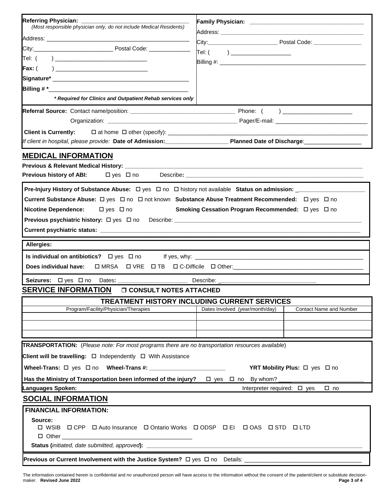| Referring Physician: _______<br>(Most responsible physician only, do not include Medical Residents)<br>Tel: (   ) _____________________<br>Tel: (  ) _________________________________<br>* Required for Clinics and Outpatient Rehab services only<br>If client in hospital, please provide: Date of Admission: <b>Concretently Planned Date of Discharge</b> : <b>Concretently Adminited by Admission</b><br><b>MEDICAL INFORMATION</b><br><b>Previous history of ABI:</b> □ yes □ no<br>Current Substance Abuse: □ yes □ no □ not known Substance Abuse Treatment Recommended: □ yes □ no<br><b>Nicotine Dependence:</b><br>$\Box$ yes $\Box$ no<br>Smoking Cessation Program Recommended: □ yes □ no<br>Allergies:<br>Seizures: Dyes Dno Dates: ___________<br><b>SERVICE INFORMATION</b><br><b>O CONSULT NOTES ATTACHED</b><br>TREATMENT HISTORY INCLUDING CURRENT SERVICES<br>Program/Facility/Physician/Therapies<br><b>Contact Name and Number</b><br>Dates Involved (year/month/day)<br><b>TRANSPORTATION:</b> (Please note: For most programs there are no transportation resources available)<br>Client will be travelling: □ Independently □ With Assistance<br>YRT Mobility Plus: □ yes □ no<br>Has the Ministry of Transportation been informed of the injury? $\square$ yes $\square$ no By whom?<br>Languages Spoken:<br>Interpreter required: $\Box$ yes<br>$\square$ no<br><b>SOCIAL INFORMATION</b><br><b>FINANCIAL INFORMATION:</b><br>Source:<br>ロ WSIB ロ CPP ロ Auto Insurance ロ Ontario Works ロ ODSP ロ EI ロ OAS ロ STD ロ LTD |  |  |  |  |  |  |
|---------------------------------------------------------------------------------------------------------------------------------------------------------------------------------------------------------------------------------------------------------------------------------------------------------------------------------------------------------------------------------------------------------------------------------------------------------------------------------------------------------------------------------------------------------------------------------------------------------------------------------------------------------------------------------------------------------------------------------------------------------------------------------------------------------------------------------------------------------------------------------------------------------------------------------------------------------------------------------------------------------------------------------------------------------------------------------------------------------------------------------------------------------------------------------------------------------------------------------------------------------------------------------------------------------------------------------------------------------------------------------------------------------------------------------------------------------------------------------------------------------------------------------------------------|--|--|--|--|--|--|
|                                                                                                                                                                                                                                                                                                                                                                                                                                                                                                                                                                                                                                                                                                                                                                                                                                                                                                                                                                                                                                                                                                                                                                                                                                                                                                                                                                                                                                                                                                                                                   |  |  |  |  |  |  |
|                                                                                                                                                                                                                                                                                                                                                                                                                                                                                                                                                                                                                                                                                                                                                                                                                                                                                                                                                                                                                                                                                                                                                                                                                                                                                                                                                                                                                                                                                                                                                   |  |  |  |  |  |  |
|                                                                                                                                                                                                                                                                                                                                                                                                                                                                                                                                                                                                                                                                                                                                                                                                                                                                                                                                                                                                                                                                                                                                                                                                                                                                                                                                                                                                                                                                                                                                                   |  |  |  |  |  |  |
|                                                                                                                                                                                                                                                                                                                                                                                                                                                                                                                                                                                                                                                                                                                                                                                                                                                                                                                                                                                                                                                                                                                                                                                                                                                                                                                                                                                                                                                                                                                                                   |  |  |  |  |  |  |
|                                                                                                                                                                                                                                                                                                                                                                                                                                                                                                                                                                                                                                                                                                                                                                                                                                                                                                                                                                                                                                                                                                                                                                                                                                                                                                                                                                                                                                                                                                                                                   |  |  |  |  |  |  |
|                                                                                                                                                                                                                                                                                                                                                                                                                                                                                                                                                                                                                                                                                                                                                                                                                                                                                                                                                                                                                                                                                                                                                                                                                                                                                                                                                                                                                                                                                                                                                   |  |  |  |  |  |  |
|                                                                                                                                                                                                                                                                                                                                                                                                                                                                                                                                                                                                                                                                                                                                                                                                                                                                                                                                                                                                                                                                                                                                                                                                                                                                                                                                                                                                                                                                                                                                                   |  |  |  |  |  |  |
|                                                                                                                                                                                                                                                                                                                                                                                                                                                                                                                                                                                                                                                                                                                                                                                                                                                                                                                                                                                                                                                                                                                                                                                                                                                                                                                                                                                                                                                                                                                                                   |  |  |  |  |  |  |
|                                                                                                                                                                                                                                                                                                                                                                                                                                                                                                                                                                                                                                                                                                                                                                                                                                                                                                                                                                                                                                                                                                                                                                                                                                                                                                                                                                                                                                                                                                                                                   |  |  |  |  |  |  |
|                                                                                                                                                                                                                                                                                                                                                                                                                                                                                                                                                                                                                                                                                                                                                                                                                                                                                                                                                                                                                                                                                                                                                                                                                                                                                                                                                                                                                                                                                                                                                   |  |  |  |  |  |  |
|                                                                                                                                                                                                                                                                                                                                                                                                                                                                                                                                                                                                                                                                                                                                                                                                                                                                                                                                                                                                                                                                                                                                                                                                                                                                                                                                                                                                                                                                                                                                                   |  |  |  |  |  |  |
|                                                                                                                                                                                                                                                                                                                                                                                                                                                                                                                                                                                                                                                                                                                                                                                                                                                                                                                                                                                                                                                                                                                                                                                                                                                                                                                                                                                                                                                                                                                                                   |  |  |  |  |  |  |
|                                                                                                                                                                                                                                                                                                                                                                                                                                                                                                                                                                                                                                                                                                                                                                                                                                                                                                                                                                                                                                                                                                                                                                                                                                                                                                                                                                                                                                                                                                                                                   |  |  |  |  |  |  |
|                                                                                                                                                                                                                                                                                                                                                                                                                                                                                                                                                                                                                                                                                                                                                                                                                                                                                                                                                                                                                                                                                                                                                                                                                                                                                                                                                                                                                                                                                                                                                   |  |  |  |  |  |  |
|                                                                                                                                                                                                                                                                                                                                                                                                                                                                                                                                                                                                                                                                                                                                                                                                                                                                                                                                                                                                                                                                                                                                                                                                                                                                                                                                                                                                                                                                                                                                                   |  |  |  |  |  |  |
|                                                                                                                                                                                                                                                                                                                                                                                                                                                                                                                                                                                                                                                                                                                                                                                                                                                                                                                                                                                                                                                                                                                                                                                                                                                                                                                                                                                                                                                                                                                                                   |  |  |  |  |  |  |
|                                                                                                                                                                                                                                                                                                                                                                                                                                                                                                                                                                                                                                                                                                                                                                                                                                                                                                                                                                                                                                                                                                                                                                                                                                                                                                                                                                                                                                                                                                                                                   |  |  |  |  |  |  |
|                                                                                                                                                                                                                                                                                                                                                                                                                                                                                                                                                                                                                                                                                                                                                                                                                                                                                                                                                                                                                                                                                                                                                                                                                                                                                                                                                                                                                                                                                                                                                   |  |  |  |  |  |  |
|                                                                                                                                                                                                                                                                                                                                                                                                                                                                                                                                                                                                                                                                                                                                                                                                                                                                                                                                                                                                                                                                                                                                                                                                                                                                                                                                                                                                                                                                                                                                                   |  |  |  |  |  |  |
|                                                                                                                                                                                                                                                                                                                                                                                                                                                                                                                                                                                                                                                                                                                                                                                                                                                                                                                                                                                                                                                                                                                                                                                                                                                                                                                                                                                                                                                                                                                                                   |  |  |  |  |  |  |
|                                                                                                                                                                                                                                                                                                                                                                                                                                                                                                                                                                                                                                                                                                                                                                                                                                                                                                                                                                                                                                                                                                                                                                                                                                                                                                                                                                                                                                                                                                                                                   |  |  |  |  |  |  |
|                                                                                                                                                                                                                                                                                                                                                                                                                                                                                                                                                                                                                                                                                                                                                                                                                                                                                                                                                                                                                                                                                                                                                                                                                                                                                                                                                                                                                                                                                                                                                   |  |  |  |  |  |  |
|                                                                                                                                                                                                                                                                                                                                                                                                                                                                                                                                                                                                                                                                                                                                                                                                                                                                                                                                                                                                                                                                                                                                                                                                                                                                                                                                                                                                                                                                                                                                                   |  |  |  |  |  |  |
|                                                                                                                                                                                                                                                                                                                                                                                                                                                                                                                                                                                                                                                                                                                                                                                                                                                                                                                                                                                                                                                                                                                                                                                                                                                                                                                                                                                                                                                                                                                                                   |  |  |  |  |  |  |
|                                                                                                                                                                                                                                                                                                                                                                                                                                                                                                                                                                                                                                                                                                                                                                                                                                                                                                                                                                                                                                                                                                                                                                                                                                                                                                                                                                                                                                                                                                                                                   |  |  |  |  |  |  |
|                                                                                                                                                                                                                                                                                                                                                                                                                                                                                                                                                                                                                                                                                                                                                                                                                                                                                                                                                                                                                                                                                                                                                                                                                                                                                                                                                                                                                                                                                                                                                   |  |  |  |  |  |  |
|                                                                                                                                                                                                                                                                                                                                                                                                                                                                                                                                                                                                                                                                                                                                                                                                                                                                                                                                                                                                                                                                                                                                                                                                                                                                                                                                                                                                                                                                                                                                                   |  |  |  |  |  |  |
|                                                                                                                                                                                                                                                                                                                                                                                                                                                                                                                                                                                                                                                                                                                                                                                                                                                                                                                                                                                                                                                                                                                                                                                                                                                                                                                                                                                                                                                                                                                                                   |  |  |  |  |  |  |
|                                                                                                                                                                                                                                                                                                                                                                                                                                                                                                                                                                                                                                                                                                                                                                                                                                                                                                                                                                                                                                                                                                                                                                                                                                                                                                                                                                                                                                                                                                                                                   |  |  |  |  |  |  |
|                                                                                                                                                                                                                                                                                                                                                                                                                                                                                                                                                                                                                                                                                                                                                                                                                                                                                                                                                                                                                                                                                                                                                                                                                                                                                                                                                                                                                                                                                                                                                   |  |  |  |  |  |  |
|                                                                                                                                                                                                                                                                                                                                                                                                                                                                                                                                                                                                                                                                                                                                                                                                                                                                                                                                                                                                                                                                                                                                                                                                                                                                                                                                                                                                                                                                                                                                                   |  |  |  |  |  |  |
|                                                                                                                                                                                                                                                                                                                                                                                                                                                                                                                                                                                                                                                                                                                                                                                                                                                                                                                                                                                                                                                                                                                                                                                                                                                                                                                                                                                                                                                                                                                                                   |  |  |  |  |  |  |
|                                                                                                                                                                                                                                                                                                                                                                                                                                                                                                                                                                                                                                                                                                                                                                                                                                                                                                                                                                                                                                                                                                                                                                                                                                                                                                                                                                                                                                                                                                                                                   |  |  |  |  |  |  |
|                                                                                                                                                                                                                                                                                                                                                                                                                                                                                                                                                                                                                                                                                                                                                                                                                                                                                                                                                                                                                                                                                                                                                                                                                                                                                                                                                                                                                                                                                                                                                   |  |  |  |  |  |  |
|                                                                                                                                                                                                                                                                                                                                                                                                                                                                                                                                                                                                                                                                                                                                                                                                                                                                                                                                                                                                                                                                                                                                                                                                                                                                                                                                                                                                                                                                                                                                                   |  |  |  |  |  |  |
|                                                                                                                                                                                                                                                                                                                                                                                                                                                                                                                                                                                                                                                                                                                                                                                                                                                                                                                                                                                                                                                                                                                                                                                                                                                                                                                                                                                                                                                                                                                                                   |  |  |  |  |  |  |
|                                                                                                                                                                                                                                                                                                                                                                                                                                                                                                                                                                                                                                                                                                                                                                                                                                                                                                                                                                                                                                                                                                                                                                                                                                                                                                                                                                                                                                                                                                                                                   |  |  |  |  |  |  |
|                                                                                                                                                                                                                                                                                                                                                                                                                                                                                                                                                                                                                                                                                                                                                                                                                                                                                                                                                                                                                                                                                                                                                                                                                                                                                                                                                                                                                                                                                                                                                   |  |  |  |  |  |  |
|                                                                                                                                                                                                                                                                                                                                                                                                                                                                                                                                                                                                                                                                                                                                                                                                                                                                                                                                                                                                                                                                                                                                                                                                                                                                                                                                                                                                                                                                                                                                                   |  |  |  |  |  |  |
|                                                                                                                                                                                                                                                                                                                                                                                                                                                                                                                                                                                                                                                                                                                                                                                                                                                                                                                                                                                                                                                                                                                                                                                                                                                                                                                                                                                                                                                                                                                                                   |  |  |  |  |  |  |
|                                                                                                                                                                                                                                                                                                                                                                                                                                                                                                                                                                                                                                                                                                                                                                                                                                                                                                                                                                                                                                                                                                                                                                                                                                                                                                                                                                                                                                                                                                                                                   |  |  |  |  |  |  |
|                                                                                                                                                                                                                                                                                                                                                                                                                                                                                                                                                                                                                                                                                                                                                                                                                                                                                                                                                                                                                                                                                                                                                                                                                                                                                                                                                                                                                                                                                                                                                   |  |  |  |  |  |  |